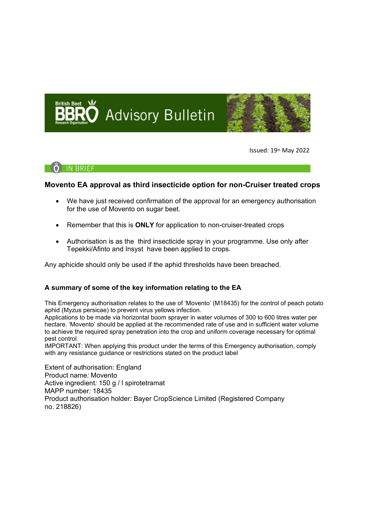



Issued: 19th May 2022

**RRIFF** 

## **Movento EA approval as third insecticide option for non-Cruiser treated crops**

- We have just received confirmation of the approval for an emergency authorisation for the use of Movento on sugar beet.
- Remember that this is **ONLY** for application to non-cruiser-treated crops
- Authorisation is as the third insecticide spray in your programme. Use only after Tepekki/Afinto and Insyst have been applied to crops.

Any aphicide should only be used if the aphid thresholds have been breached.

# **A summary of some of the key information relating to the EA**

This Emergency authorisation relates to the use of 'Movento' (M18435) for the control of peach potato aphid (Myzus persicae) to prevent virus yellows infection.

Applications to be made via horizontal boom sprayer in water volumes of 300 to 600 litres water per hectare. 'Movento' should be applied at the recommended rate of use and in sufficient water volume to achieve the required spray penetration into the crop and uniform coverage necessary for optimal pest control.

IMPORTANT: When applying this product under the terms of this Emergency authorisation, comply with any resistance guidance or restrictions stated on the product label

Extent of authorisation: England Product name*:* Movento Active ingredient*:* 150 g / l spirotetramat MAPP number*:* 18435 Product authorisation holder*:* Bayer CropScience Limited (Registered Company no. 218826)